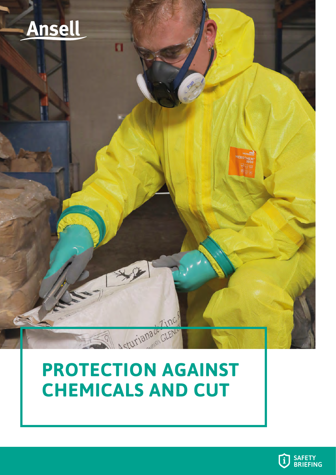

## **PROTECTION AGAINST CHEMICALS AND CUT**

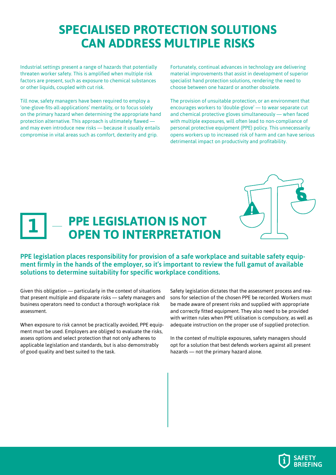### **SPECIALISED PROTECTION SOLUTIONS CAN ADDRESS MULTIPLE RISKS**

Industrial settings present a range of hazards that potentially threaten worker safety. This is amplified when multiple risk factors are present, such as exposure to chemical substances or other liquids, coupled with cut risk.

Till now, safety managers have been required to employ a 'one-glove-fits-all-applications' mentality, or to focus solely on the primary hazard when determining the appropriate hand protection alternative. This approach is ultimately flawed and may even introduce new risks — because it usually entails compromise in vital areas such as comfort, dexterity and grip.

Fortunately, continual advances in technology are delivering material improvements that assist in development of superior specialist hand protection solutions, rendering the need to choose between one hazard or another obsolete.

The provision of unsuitable protection, or an environment that encourages workers to 'double-glove' — to wear separate cut and chemical protective gloves simultaneously — when faced with multiple exposures, will often lead to non-compliance of personal protective equipment (PPE) policy. This unnecessarily opens workers up to increased risk of harm and can have serious detrimental impact on productivity and profitability.



#### **PPE LEGISLATION IS NOT OPEN TO INTERPRETATION 1**

PPE legislation places responsibility for provision of a safe workplace and suitable safety equipment firmly in the hands of the employer, so it's important to review the full gamut of available solutions to determine suitability for specific workplace conditions.

Given this obligation — particularly in the context of situations that present multiple and disparate risks — safety managers and business operators need to conduct a thorough workplace risk assessment.

When exposure to risk cannot be practically avoided, PPE equipment must be used. Employers are obliged to evaluate the risks, assess options and select protection that not only adheres to applicable legislation and standards, but is also demonstrably of good quality and best suited to the task.

Safety legislation dictates that the assessment process and reasons for selection of the chosen PPE be recorded. Workers must be made aware of present risks and supplied with appropriate and correctly fitted equipment. They also need to be provided with written rules when PPE utilisation is compulsory, as well as adequate instruction on the proper use of supplied protection.

In the context of multiple exposures, safety managers should opt for a solution that best defends workers against all present hazards — not the primary hazard alone.

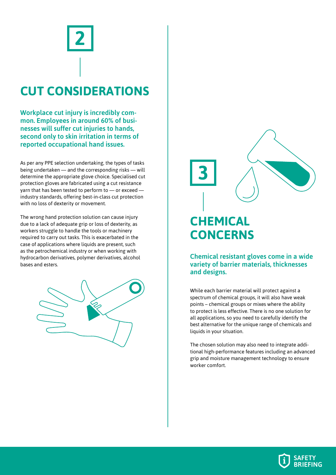# **CUT CONSIDERATIONS 2**

Workplace cut injury is incredibly common. Employees in around 60% of businesses will suffer cut injuries to hands, second only to skin irritation in terms of reported occupational hand issues.

As per any PPE selection undertaking, the types of tasks being undertaken — and the corresponding risks — will determine the appropriate glove choice. Specialised cut protection gloves are fabricated using a cut resistance yarn that has been tested to perform to — or exceed industry standards, offering best-in-class cut protection with no loss of dexterity or movement.

The wrong hand protection solution can cause injury due to a lack of adequate grip or loss of dexterity, as workers struggle to handle the tools or machinery required to carry out tasks. This is exacerbated in the case of applications where liquids are present, such as the petrochemical industry or when working with hydrocarbon derivatives, polymer derivatives, alcohol bases and esters.



**CHEMICAL CONCERNS**

**3**

Chemical resistant gloves come in a wide variety of barrier materials, thicknesses and designs.

While each barrier material will protect against a spectrum of chemical groups, it will also have weak points – chemical groups or mixes where the ability to protect is less effective. There is no one solution for all applications, so you need to carefully identify the best alternative for the unique range of chemicals and liquids in your situation.

The chosen solution may also need to integrate additional high-performance features including an advanced grip and moisture management technology to ensure worker comfort.

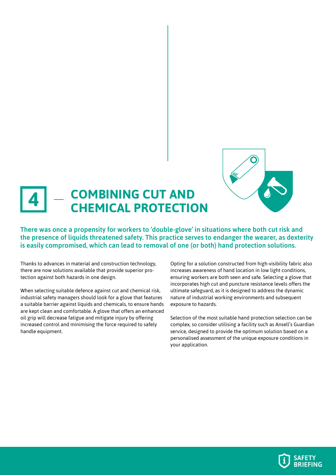

#### **COMBINING CUT AND CHEMICAL PROTECTION 4**

There was once a propensity for workers to 'double-glove' in situations where both cut risk and the presence of liquids threatened safety. This practice serves to endanger the wearer, as dexterity is easily compromised, which can lead to removal of one (or both) hand protection solutions.

Thanks to advances in material and construction technology, there are now solutions available that provide superior protection against both hazards in one design.

When selecting suitable defence against cut and chemical risk, industrial safety managers should look for a glove that features a suitable barrier against liquids and chemicals, to ensure hands are kept clean and comfortable. A glove that offers an enhanced oil grip will decrease fatigue and mitigate injury by offering increased control and minimising the force required to safely handle equipment.

Opting for a solution constructed from high-visibility fabric also increases awareness of hand location in low light conditions, ensuring workers are both seen and safe. Selecting a glove that incorporates high cut and puncture resistance levels offers the ultimate safeguard, as it is designed to address the dynamic nature of industrial working environments and subsequent exposure to hazards.

Selection of the most suitable hand protection selection can be complex, so consider utilising a facility such as Ansell's Guardian service, designed to provide the optimum solution based on a personalised assessment of the unique exposure conditions in your application.